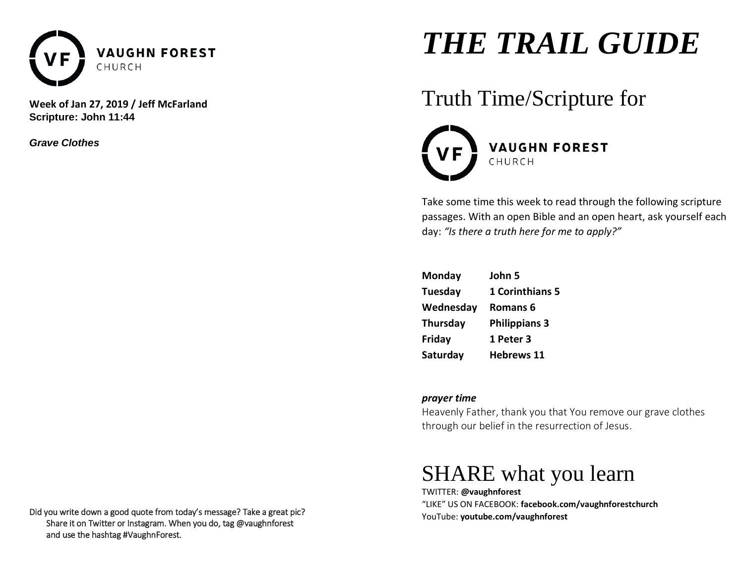

**Week of Jan 27, 2019 / Jeff McFarland Scripture: John 11:44**

*Grave Clothes*

# *THE TRAIL GUIDE*

## Truth Time/Scripture for



Take some time this week to read through the following scripture passages. With an open Bible and an open heart, ask yourself each day: *"Is there a truth here for me to apply?"* 

| Monday    | John 5               |
|-----------|----------------------|
| Tuesday   | 1 Corinthians 5      |
| Wednesday | Romans <sub>6</sub>  |
| Thursday  | <b>Philippians 3</b> |
| Friday    | 1 Peter 3            |
| Saturday  | <b>Hebrews 11</b>    |

### *prayer time*

Heavenly Father, thank you that You remove our grave clothes through our belief in the resurrection of Jesus.

## SHARE what you learn

TWITTER: **@vaughnforest**  "LIKE" US ON FACEBOOK: **facebook.com/vaughnforestchurch** YouTube: **youtube.com/vaughnforest**

Did you write down a good quote from today's message? Take a great pic? Share it on Twitter or Instagram. When you do, tag @vaughnforest and use the hashtag #VaughnForest.